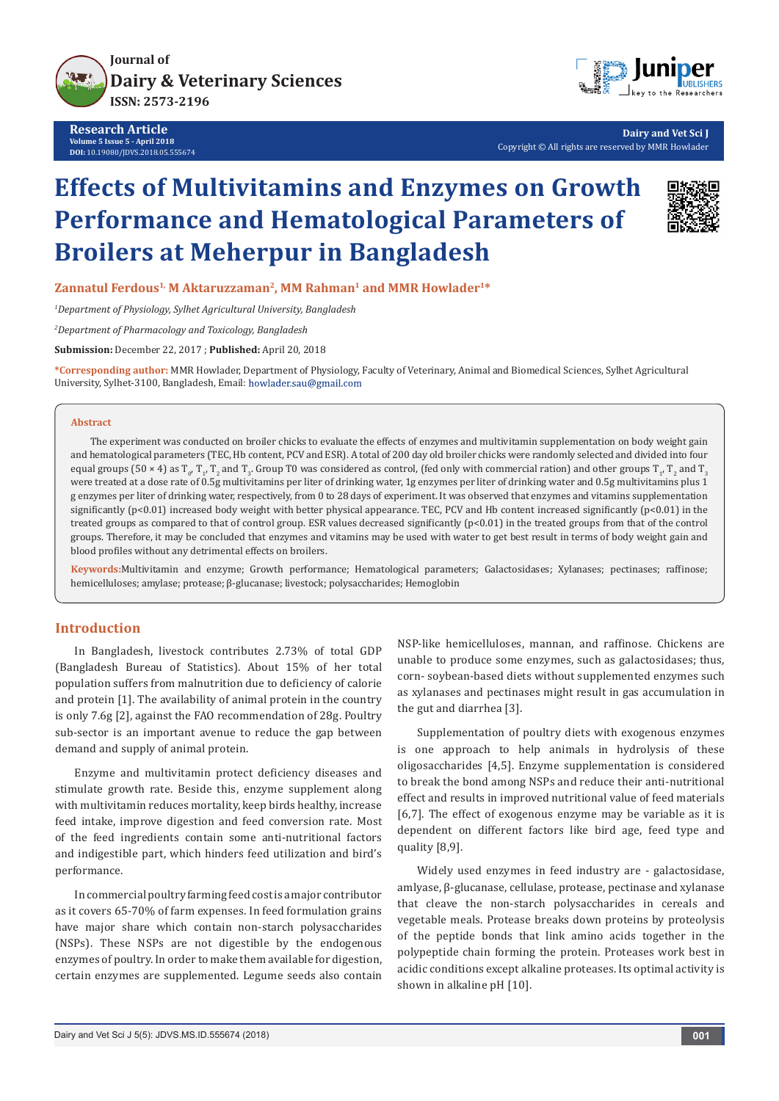

**Research Article Volume 5 Issue 5 - April 2018 DOI:** [10.19080/JDVS.2018.05.555674](http://dx.doi.org/10.19080/JDVS.2018.05.555674)



**Dairy and Vet Sci J** Copyright © All rights are reserved by MMR Howlader

# **Effects of Multivitamins and Enzymes on Growth Performance and Hematological Parameters of Broilers at Meherpur in Bangladesh**



Zannatul Ferdous<sup>1,</sup> M Aktaruzzaman<sup>2</sup>, MM Rahman<sup>1</sup> and MMR Howlader<sup>1\*</sup>

*1 Department of Physiology, Sylhet Agricultural University, Bangladesh*

*2 Department of Pharmacology and Toxicology, Bangladesh*

**Submission:** December 22, 2017 ; **Published:** April 20, 2018

**\*Corresponding author:** MMR Howlader, Department of Physiology, Faculty of Veterinary, Animal and Biomedical Sciences, Sylhet Agricultural University, Sylhet-3100, Bangladesh, Email: howlader.sau@gmail.com

#### **Abstract**

The experiment was conducted on broiler chicks to evaluate the effects of enzymes and multivitamin supplementation on body weight gain and hematological parameters (TEC, Hb content, PCV and ESR). A total of 200 day old broiler chicks were randomly selected and divided into four equal groups (50 × 4) as  $T_0$ ,  $T_1$ ,  $T_2$  and  $T_3$ , Group T0 was considered as control, (fed only with commercial ration) and other groups  $T_1$ ,  $T_2$  and  $T_3$ were treated at a dose rate of 0.5g multivitamins per liter of drinking water, 1g enzymes per liter of drinking water and 0.5g multivitamins plus 1 g enzymes per liter of drinking water, respectively, from 0 to 28 days of experiment. It was observed that enzymes and vitamins supplementation significantly ( $p<0.01$ ) increased body weight with better physical appearance. TEC, PCV and Hb content increased significantly ( $p<0.01$ ) in the treated groups as compared to that of control group. ESR values decreased significantly (p<0.01) in the treated groups from that of the control groups. Therefore, it may be concluded that enzymes and vitamins may be used with water to get best result in terms of body weight gain and blood profiles without any detrimental effects on broilers.

**Keywords:**Multivitamin and enzyme; Growth performance; Hematological parameters; Galactosidases; Xylanases; pectinases; raffinose; hemicelluloses; amylase; protease; β-glucanase; livestock; polysaccharides; Hemoglobin

# **Introduction**

In Bangladesh, livestock contributes 2.73% of total GDP (Bangladesh Bureau of Statistics). About 15% of her total population suffers from malnutrition due to deficiency of calorie and protein [1]. The availability of animal protein in the country is only 7.6g [2], against the FAO recommendation of 28g. Poultry sub-sector is an important avenue to reduce the gap between demand and supply of animal protein.

Enzyme and multivitamin protect deficiency diseases and stimulate growth rate. Beside this, enzyme supplement along with multivitamin reduces mortality, keep birds healthy, increase feed intake, improve digestion and feed conversion rate. Most of the feed ingredients contain some anti-nutritional factors and indigestible part, which hinders feed utilization and bird's performance.

In commercial poultry farming feed cost is a major contributor as it covers 65-70% of farm expenses. In feed formulation grains have major share which contain non-starch polysaccharides (NSPs). These NSPs are not digestible by the endogenous enzymes of poultry. In order to make them available for digestion, certain enzymes are supplemented. Legume seeds also contain

NSP-like hemicelluloses, mannan, and raffinose. Chickens are unable to produce some enzymes, such as galactosidases; thus, corn- soybean-based diets without supplemented enzymes such as xylanases and pectinases might result in gas accumulation in the gut and diarrhea [3].

Supplementation of poultry diets with exogenous enzymes is one approach to help animals in hydrolysis of these oligosaccharides [4,5]. Enzyme supplementation is considered to break the bond among NSPs and reduce their anti-nutritional effect and results in improved nutritional value of feed materials [6,7]. The effect of exogenous enzyme may be variable as it is dependent on different factors like bird age, feed type and quality [8,9].

Widely used enzymes in feed industry are - galactosidase, amlyase, β-glucanase, cellulase, protease, pectinase and xylanase that cleave the non-starch polysaccharides in cereals and vegetable meals. Protease breaks down proteins by proteolysis of the peptide bonds that link amino acids together in the polypeptide chain forming the protein. Proteases work best in acidic conditions except alkaline proteases. Its optimal activity is shown in alkaline pH [10].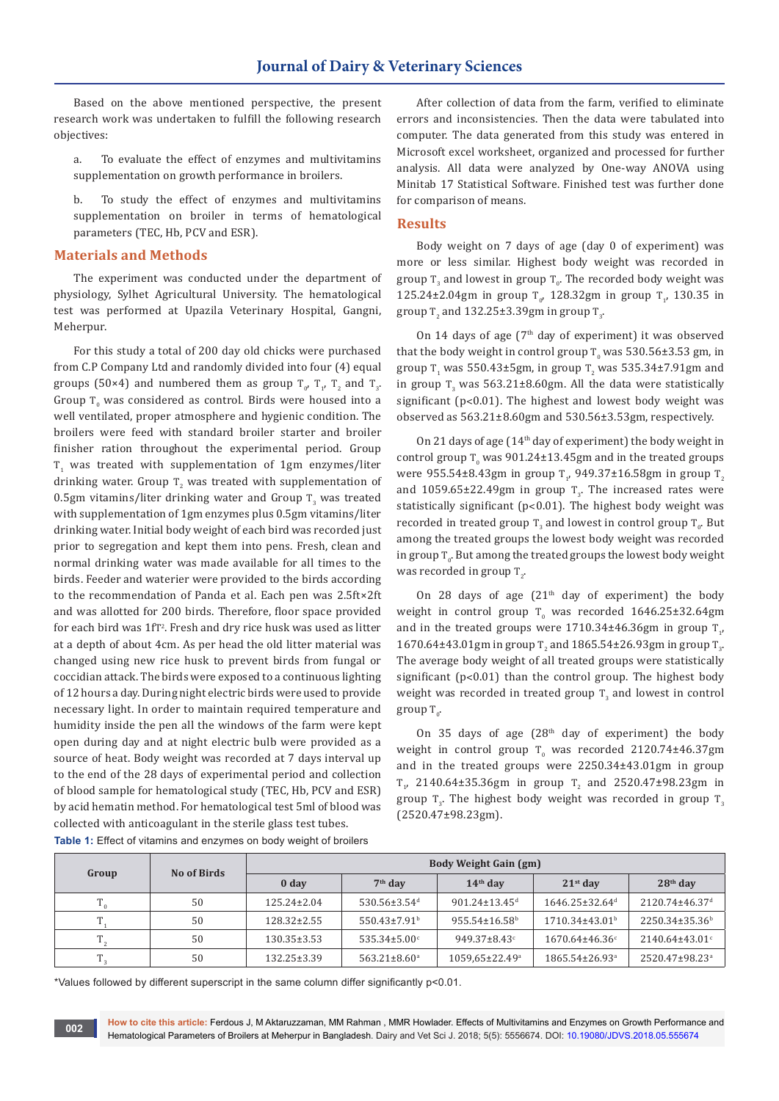Based on the above mentioned perspective, the present research work was undertaken to fulfill the following research objectives:

a. To evaluate the effect of enzymes and multivitamins supplementation on growth performance in broilers.

b. To study the effect of enzymes and multivitamins supplementation on broiler in terms of hematological parameters (TEC, Hb, PCV and ESR).

## **Materials and Methods**

The experiment was conducted under the department of physiology, Sylhet Agricultural University. The hematological test was performed at Upazila Veterinary Hospital, Gangni, Meherpur.

For this study a total of 200 day old chicks were purchased from C.P Company Ltd and randomly divided into four (4) equal groups (50×4) and numbered them as group  $T_0$ ,  $T_1$ ,  $T_2$  and  $T_3$ . Group  $T_0$  was considered as control. Birds were housed into a well ventilated, proper atmosphere and hygienic condition. The broilers were feed with standard broiler starter and broiler finisher ration throughout the experimental period. Group  $T<sub>1</sub>$  was treated with supplementation of  $1$ gm enzymes/liter drinking water. Group  $T_z$  was treated with supplementation of  $0.5$ gm vitamins/liter drinking water and Group T<sub>3</sub> was treated with supplementation of 1gm enzymes plus 0.5gm vitamins/liter drinking water. Initial body weight of each bird was recorded just prior to segregation and kept them into pens. Fresh, clean and normal drinking water was made available for all times to the birds. Feeder and waterier were provided to the birds according to the recommendation of Panda et al. Each pen was 2.5ft×2ft and was allotted for 200 birds. Therefore, floor space provided for each bird was 1fT<sup>2</sup>. Fresh and dry rice husk was used as litter at a depth of about 4cm. As per head the old litter material was changed using new rice husk to prevent birds from fungal or coccidian attack. The birds were exposed to a continuous lighting of 12 hours a day. During night electric birds were used to provide necessary light. In order to maintain required temperature and humidity inside the pen all the windows of the farm were kept open during day and at night electric bulb were provided as a source of heat. Body weight was recorded at 7 days interval up to the end of the 28 days of experimental period and collection of blood sample for hematological study (TEC, Hb, PCV and ESR) by acid hematin method. For hematological test 5ml of blood was collected with anticoagulant in the sterile glass test tubes.

After collection of data from the farm, verified to eliminate errors and inconsistencies. Then the data were tabulated into computer. The data generated from this study was entered in Microsoft excel worksheet, organized and processed for further analysis. All data were analyzed by One-way ANOVA using Minitab 17 Statistical Software. Finished test was further done for comparison of means.

#### **Results**

Body weight on 7 days of age (day 0 of experiment) was more or less similar. Highest body weight was recorded in group  $\text{T}_3$  and lowest in group  $\text{T}_0$ . The recorded body weight was 125.24±2.04gm in group  $T_{0}$ , 128.32gm in group  $T_{1}$ , 130.35 in group T<sub>2</sub> and  $132.25 \pm 3.39$ gm in group T<sub>3</sub>.

On 14 days of age  $(7<sup>th</sup>$  day of experiment) it was observed that the body weight in control group T $_{\rm o}$  was 530.56±3.53 gm, in group  $T_1$  was 550.43±5gm, in group  $T_2$  was 535.34±7.91gm and in group  $T_3$  was 563.21±8.60gm. All the data were statistically significant (p˂0.01). The highest and lowest body weight was observed as 563.21±8.60gm and 530.56±3.53gm, respectively.

On 21 days of age (14th day of experiment) the body weight in control group  $T_0$  was 901.24 $\pm$ 13.45gm and in the treated groups were 955.54±8.43gm in group T<sub>1</sub>, 949.37±16.58gm in group T<sub>2</sub> and  $1059.65\pm22.49$ gm in group T<sub>3</sub>. The increased rates were statistically significant (p˂0.01). The highest body weight was recorded in treated group  $\text{T}_3$  and lowest in control group  $\text{T}_0$ . But among the treated groups the lowest body weight was recorded in group  $\texttt{T}_{\textup{o}}$ . But among the treated groups the lowest body weight was recorded in group  $\mathrm{T}_2$ .

On 28 days of age  $(21<sup>th</sup>$  day of experiment) the body weight in control group  $T_0$  was recorded 1646.25±32.64gm and in the treated groups were  $1/10.34\pm46.36$ gm in group  $T_{1'}$  $1670.64\pm43.01$ gm in group T<sub>2</sub> and  $1865.54\pm26.93$ gm in group T<sub>3</sub>. The average body weight of all treated groups were statistically significant (p˂0.01) than the control group. The highest body weight was recorded in treated group  $\text{T}_3$  and lowest in control group  $\mathrm{T}_{_{0}}$ .

On 35 days of age  $(28<sup>th</sup>$  day of experiment) the body weight in control group  $T_0$  was recorded 2120.74±46.37gm and in the treated groups were 2250.34±43.01gm in group  $T_{1}$ , 2140.64±35.36gm in group  $T_{2}$  and 2520.47±98.23gm in group T<sub>3</sub>. The highest body weight was recorded in group T<sub>3</sub> (2520.47±98.23gm).

| Group    | No of Birds | <b>Body Weight Gain (gm)</b> |                                |                                 |                                  |                            |  |
|----------|-------------|------------------------------|--------------------------------|---------------------------------|----------------------------------|----------------------------|--|
|          |             | 0 <sub>day</sub>             | $7th$ day                      | $14th$ day                      | $21st$ day                       | $28th$ day                 |  |
| <b>T</b> | 50          | $125.24 \pm 2.04$            | $530.56 \pm 3.54$ <sup>d</sup> | $901.24 \pm 13.45$ <sup>d</sup> | $1646.25 \pm 32.64$ <sup>d</sup> | 2120.74±46.37 <sup>d</sup> |  |
|          | 50          | $128.32 \pm 2.55$            | $550.43 \pm 7.91$ <sup>b</sup> | $955.54 \pm 16.58$ <sup>b</sup> | $1710.34 \pm 43.01^{\circ}$      | 2250.34±35.36 <sup>b</sup> |  |
| m        | 50          | $130.35 \pm 3.53$            | $535.34 \pm 5.00^{\circ}$      | $949.37 \pm 8.43$               | $1670.64\pm46.36^{\circ}$        | $2140.64\pm43.01$ °        |  |
| m.       | 50          | $132.25 \pm 3.39$            | $563.21 \pm 8.60$ <sup>a</sup> | 1059,65±22.49 <sup>a</sup>      | $1865.54 \pm 26.93$ <sup>a</sup> | 2520.47±98.23 <sup>a</sup> |  |

**Table 1:** Effect of vitamins and enzymes on body weight of broilers

\*Values followed by different superscript in the same column differ significantly p<0.01.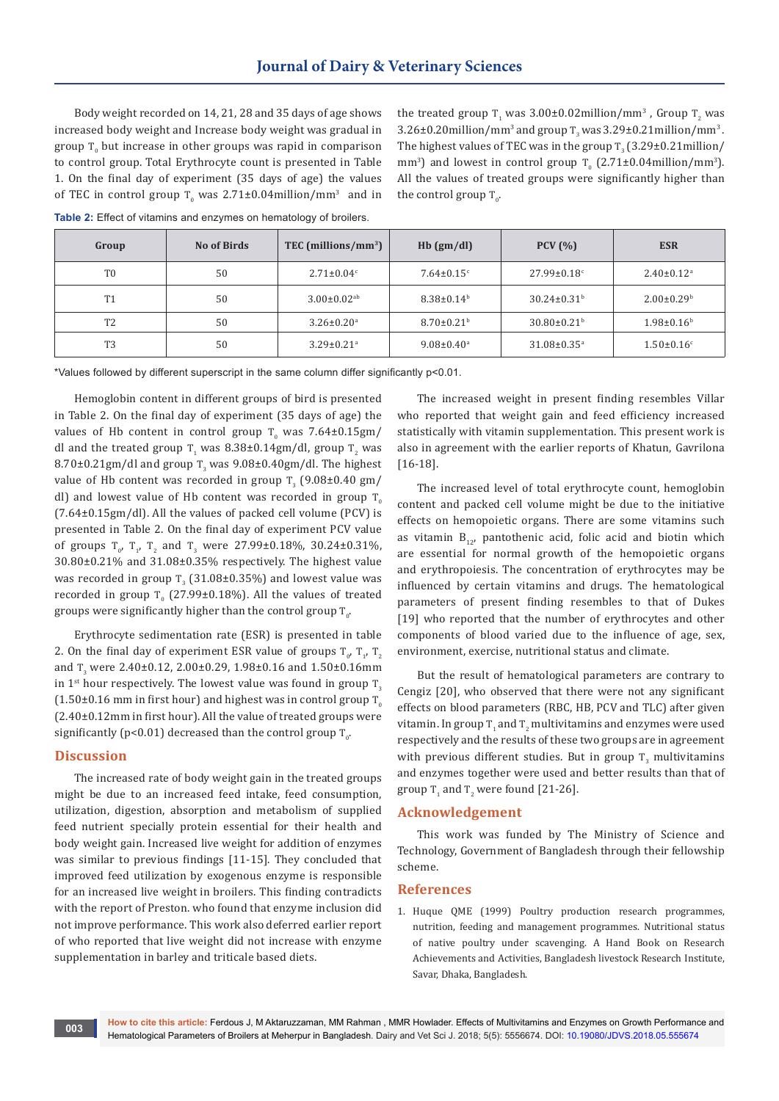Body weight recorded on 14, 21, 28 and 35 days of age shows increased body weight and Increase body weight was gradual in group  $T_0$  but increase in other groups was rapid in comparison to control group. Total Erythrocyte count is presented in Table 1. On the final day of experiment (35 days of age) the values of TEC in control group  $T_{0}$  was 2.71±0.04million/mm<sup>3</sup> and in the treated group  $T_1$  was  $3.00\pm0.02$ million/mm<sup>3</sup>, Group  $T_2$  was  $3.26\pm0.20$ million/mm<sup>3</sup> and group T<sub>3</sub> was  $3.29\pm0.21$ million/mm<sup>3</sup>. The highest values of TEC was in the group  $\texttt{T}_3(3.29\pm 0.21\text{million}/$ mm<sup>3</sup>) and lowest in control group  $T_0$  (2.71±0.04million/mm<sup>3</sup>). All the values of treated groups were significantly higher than the control group  $T_{0}$ .

| Group          | No of Birds | TEC (millions/mm <sup>3</sup> ) | $Hb$ (gm/dl)                 | PCV(%)                        | <b>ESR</b>                   |
|----------------|-------------|---------------------------------|------------------------------|-------------------------------|------------------------------|
| T <sub>0</sub> | 50          | $2.71 \pm 0.04$ <sup>c</sup>    | $7.64 \pm 0.15$ <sup>c</sup> | $27.99 \pm 0.18$ °            | $2.40 \pm 0.12$ <sup>a</sup> |
| T <sub>1</sub> | 50          | $3.00 \pm 0.02$ <sup>ab</sup>   | $8.38 \pm 0.14^b$            | $30.24 \pm 0.31^b$            | $2.00 \pm 0.29$ <sup>b</sup> |
| T <sub>2</sub> | 50          | $3.26 \pm 0.20$ <sup>a</sup>    | $8.70 \pm 0.21$ <sup>b</sup> | $30.80 \pm 0.21$ <sup>b</sup> | $1.98 \pm 0.16^b$            |
| T <sub>3</sub> | 50          | $3.29 \pm 0.21$ <sup>a</sup>    | $9.08 \pm 0.40^{\circ}$      | $31.08 \pm 0.35$ <sup>a</sup> | $1.50 \pm 0.16$ <sup>c</sup> |

**Table 2:** Effect of vitamins and enzymes on hematology of broilers.

\*Values followed by different superscript in the same column differ significantly p<0.01.

Hemoglobin content in different groups of bird is presented in Table 2. On the final day of experiment (35 days of age) the values of Hb content in control group  $T_0$  was 7.64±0.15gm/ dl and the treated group  $T_1$  was 8.38±0.14gm/dl, group  $T_2$  was  $8.70\pm0.21$ gm/dl and group T<sub>3</sub> was  $9.08\pm0.40$ gm/dl. The highest value of Hb content was recorded in group  $T_{3}$  (9.08±0.40 gm/ dl) and lowest value of Hb content was recorded in group  $T_0$ (7.64±0.15gm/dl). All the values of packed cell volume (PCV) is presented in Table 2. On the final day of experiment PCV value of groups  $T_{0}$ ,  $T_{1}$ ,  $T_{2}$  and  $T_{3}$  were 27.99±0.18%, 30.24±0.31%, 30.80±0.21% and 31.08±0.35% respectively. The highest value was recorded in group  $T_{3}$  (31.08±0.35%) and lowest value was recorded in group  $T_0$  (27.99±0.18%). All the values of treated groups were significantly higher than the control group  $\rm T_{0}.$ 

Erythrocyte sedimentation rate (ESR) is presented in table 2. On the final day of experiment ESR value of groups  $T_{0}$ ,  $T_{1}$ ,  $T_{2}$ and  $T_{3}$  were 2.40±0.12, 2.00±0.29, 1.98±0.16 and 1.50±0.16mm in 1<sup>st</sup> hour respectively. The lowest value was found in group  $T<sub>3</sub>$  $(1.50\pm0.16$  mm in first hour) and highest was in control group T<sub>o</sub> (2.40±0.12mm in first hour). All the value of treated groups were significantly (p<0.01) decreased than the control group  $\mathrm{T_{0^{\prime}}}$ 

### **Discussion**

The increased rate of body weight gain in the treated groups might be due to an increased feed intake, feed consumption, utilization, digestion, absorption and metabolism of supplied feed nutrient specially protein essential for their health and body weight gain. Increased live weight for addition of enzymes was similar to previous findings [11-15]. They concluded that improved feed utilization by exogenous enzyme is responsible for an increased live weight in broilers. This finding contradicts with the report of Preston. who found that enzyme inclusion did not improve performance. This work also deferred earlier report of who reported that live weight did not increase with enzyme supplementation in barley and triticale based diets.

The increased weight in present finding resembles Villar who reported that weight gain and feed efficiency increased statistically with vitamin supplementation. This present work is also in agreement with the earlier reports of Khatun, Gavrilona [16-18].

The increased level of total erythrocyte count, hemoglobin content and packed cell volume might be due to the initiative effects on hemopoietic organs. There are some vitamins such as vitamin  $B_{12}$ , pantothenic acid, folic acid and biotin which are essential for normal growth of the hemopoietic organs and erythropoiesis. The concentration of erythrocytes may be influenced by certain vitamins and drugs. The hematological parameters of present finding resembles to that of Dukes [19] who reported that the number of erythrocytes and other components of blood varied due to the influence of age, sex, environment, exercise, nutritional status and climate.

But the result of hematological parameters are contrary to Cengiz [20], who observed that there were not any significant effects on blood parameters (RBC, HB, PCV and TLC) after given vitamin. In group  $\text{T}_\text{1}$  and  $\text{T}_\text{2}$  multivitamins and enzymes were used respectively and the results of these two groups are in agreement with previous different studies. But in group  $T_3$  multivitamins and enzymes together were used and better results than that of group  $T_1$  and  $T_2$  were found [21-26].

#### **Acknowledgement**

This work was funded by The Ministry of Science and Technology, Government of Bangladesh through their fellowship scheme.

#### **References**

1. Huque QME (1999) Poultry production research programmes, nutrition, feeding and management programmes. Nutritional status of native poultry under scavenging. A Hand Book on Research Achievements and Activities, Bangladesh livestock Research Institute, Savar, Dhaka, Bangladesh.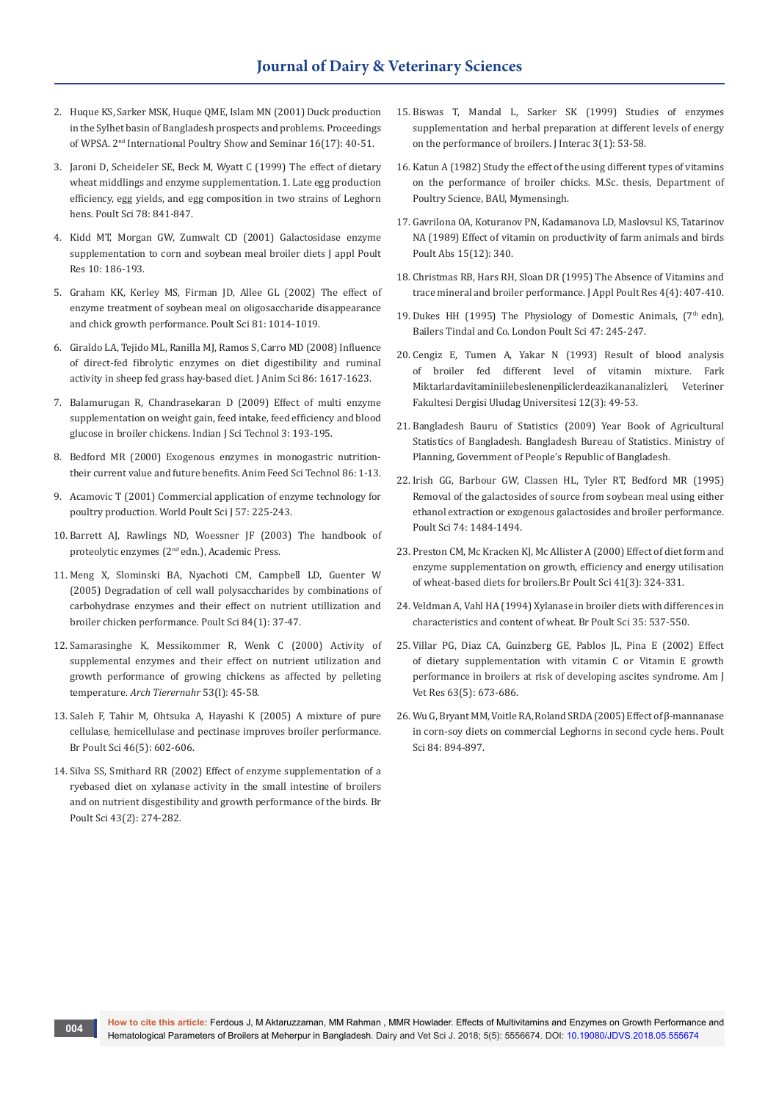- 2. Huque KS, Sarker MSK, Huque QME, Islam MN (2001) Duck production in the Sylhet basin of Bangladesh prospects and problems. Proceedings of WPSA. 2nd International Poultry Show and Seminar 16(17): 40-51.
- 3. [Jaroni D, Scheideler SE, Beck M, Wyatt C \(1999\) The effect of dietary](https://www.ncbi.nlm.nih.gov/pubmed/10438127)  [wheat middlings and enzyme supplementation. 1. Late egg production](https://www.ncbi.nlm.nih.gov/pubmed/10438127)  [efficiency, egg yields, and egg composition in two strains of Leghorn](https://www.ncbi.nlm.nih.gov/pubmed/10438127)  [hens. Poult Sci](https://www.ncbi.nlm.nih.gov/pubmed/10438127) 78: 841-847.
- 4. Kidd MT, Morgan GW, Zumwalt CD (2001) Galactosidase enzyme supplementation to corn and soybean meal broiler diets J appl Poult Res 10: 186-193.
- 5. [Graham KK, Kerley MS, Firman JD, Allee GL \(2002\) The effect of](https://www.ncbi.nlm.nih.gov/pubmed/12162338)  [enzyme treatment of soybean meal on oligosaccharide disappearance](https://www.ncbi.nlm.nih.gov/pubmed/12162338)  [and chick growth performance. Poult Sci 81: 1014-1019.](https://www.ncbi.nlm.nih.gov/pubmed/12162338)
- 6. [Giraldo LA, Tejido ML, Ranilla MJ, Ramos S, Carro MD \(2008\) Influence](https://www.ncbi.nlm.nih.gov/pubmed/18344313)  [of direct-fed fibrolytic enzymes on diet digestibility and ruminal](https://www.ncbi.nlm.nih.gov/pubmed/18344313)  [activity in sheep fed grass hay-based diet](https://www.ncbi.nlm.nih.gov/pubmed/18344313)*.* J Anim Sci 86: 1617-1623.
- 7. [Balamurugan R, Chandrasekaran D \(2009\) Effect of multi enzyme](http://www.indjst.org/index.php/indjst/article/view/29677)  [supplementation on weight gain, feed intake, feed efficiency and blood](http://www.indjst.org/index.php/indjst/article/view/29677)  [glucose in broiler chickens](http://www.indjst.org/index.php/indjst/article/view/29677)*.* Indian J Sci Technol 3: 193-195.
- 8. [Bedford MR \(2000\) Exogenous enzymes in monogastric nutrition](https://www.sciencedirect.com/science/article/pii/S0377840100001553)[their current value and future benefits. Anim Feed Sci Technol 86: 1-13.](https://www.sciencedirect.com/science/article/pii/S0377840100001553)
- 9. Acamovic T (2001) Commercial application of enzyme technology for poultry production. World Poult Sci J 57: 225-243.
- 10. Barrett AJ, Rawlings ND, Woessner JF (2003) The handbook of proteolytic enzymes (2nd edn.), Academic Press.
- 11. [Meng X, Slominski BA, Nyachoti CM, Campbell LD, Guenter W](https://www.ncbi.nlm.nih.gov/pubmed/15685940)  [\(2005\) Degradation of cell wall polysaccharides by combinations of](https://www.ncbi.nlm.nih.gov/pubmed/15685940)  [carbohydrase enzymes and their effect on nutrient utillization and](https://www.ncbi.nlm.nih.gov/pubmed/15685940)  [broiler chicken performance. Poult Sci](https://www.ncbi.nlm.nih.gov/pubmed/15685940) 84(1): 37-47.
- 12. [Samarasinghe K, Messikommer R, Wenk C \(2000\) Activity of](https://www.ncbi.nlm.nih.gov/pubmed/10836257)  [supplemental enzymes and their effect on nutrient utilization and](https://www.ncbi.nlm.nih.gov/pubmed/10836257)  [growth performance of growing chickens as affected by pelleting](https://www.ncbi.nlm.nih.gov/pubmed/10836257)  temperature. *[Arch Tierernahr](https://www.ncbi.nlm.nih.gov/pubmed/10836257)* 53(I): 45-58.
- 13. [Saleh F, Tahir M, Ohtsuka A, Hayashi K \(2005\) A mixture of pure](https://www.ncbi.nlm.nih.gov/pubmed/16359115)  [cellulase, hemicellulase and pectinase improves broiler performance.](https://www.ncbi.nlm.nih.gov/pubmed/16359115)  Br Poult Sci [46\(5\): 602-606.](https://www.ncbi.nlm.nih.gov/pubmed/16359115)
- 14. [Silva SS, Smithard RR \(2002\) Effect of enzyme supplementation of a](https://www.ncbi.nlm.nih.gov/pubmed/12047093)  [ryebased diet on xylanase activity in the small intestine of broilers](https://www.ncbi.nlm.nih.gov/pubmed/12047093)  [and on nutrient disgestibility and growth performance of the birds. Br](https://www.ncbi.nlm.nih.gov/pubmed/12047093)  [Poult Sci 43\(2\): 274-282.](https://www.ncbi.nlm.nih.gov/pubmed/12047093)
- 15. Biswas T, Mandal L, Sarker SK (1999) Studies of enzymes supplementation and herbal preparation at different levels of energy on the performance of broilers. J Interac 3(1): 53-58.
- 16. Katun A (1982) Study the effect of the using different types of vitamins on the performance of broiler chicks. M.Sc. thesis, Department of Poultry Science, BAU, Mymensingh.
- 17. Gavrilona OA, Koturanov PN, Kadamanova LD, Maslovsul KS, Tatarinov NA (1989) Effect of vitamin on productivity of farm animals and birds Poult Abs 15(12): 340.
- 18. Christmas RB, Hars RH, Sloan DR (1995) The Absence of Vitamins and trace mineral and broiler performance. J Appl Poult Res 4(4): 407-410.
- 19. Dukes HH (1995) The Physiology of Domestic Animals,  $(7<sup>th</sup>$ edn), Bailers Tindal and Co. London Poult Sci 47: 245-247.
- 20. Cengiz E, Tumen A, Yakar N (1993) Result of blood analysis of broiler fed different level of vitamin mixture. Fark Miktarlardavitaminiilebeslenenpiliclerdeazikananalizleri, Veteriner Fakultesi Dergisi Uludag Universitesi 12(3): 49-53.
- 21. Bangladesh Bauru of Statistics (2009) Year Book of Agricultural Statistics of Bangladesh. Bangladesh Bureau of Statistics. Ministry of Planning, Government of People's Republic of Bangladesh.
- 22. Irish GG, Barbour GW, Classen HL, Tyler RT, Bedford MR (1995) Removal of the galactosides of source from soybean meal using either ethanol extraction or exogenous galactosides and broiler performance. Poult Sci 74: 1484-1494.
- 23. [Preston CM, Mc Kracken KJ, Mc Allister A \(2000\) Effect of diet form and](https://www.ncbi.nlm.nih.gov/pubmed/11081428)  [enzyme supplementation on growth, efficiency and energy utilisation](https://www.ncbi.nlm.nih.gov/pubmed/11081428)  [of wheat-based diets for broilers.Br Poult Sci](https://www.ncbi.nlm.nih.gov/pubmed/11081428) 41(3): 324-331.
- 24. Veldman A, Vahl HA (1994) Xylanase in broiler diets with differences in characteristics and content of wheat*.* Br Poult Sci 35: 537-550.
- 25. [Villar PG, Diaz CA, Guinzberg GE, Pablos JL, Pina E \(2002\) Effect](https://www.ncbi.nlm.nih.gov/pubmed/12013467)  [of dietary supplementation with vitamin C or Vitamin E growth](https://www.ncbi.nlm.nih.gov/pubmed/12013467)  [performance in broilers at risk of developing ascites syndrome. Am J](https://www.ncbi.nlm.nih.gov/pubmed/12013467)  [Vet Res 63\(5\): 673-686.](https://www.ncbi.nlm.nih.gov/pubmed/12013467)
- 26. [Wu G, Bryant MM, Voitle RA, Roland SRDA \(2005\) Effect of β-mannanase](https://www.ncbi.nlm.nih.gov/pubmed/15971526)  [in corn-soy diets on commercial Leghorns in second cycle hens. Poult](https://www.ncbi.nlm.nih.gov/pubmed/15971526)  [Sci 84: 894-897.](https://www.ncbi.nlm.nih.gov/pubmed/15971526)